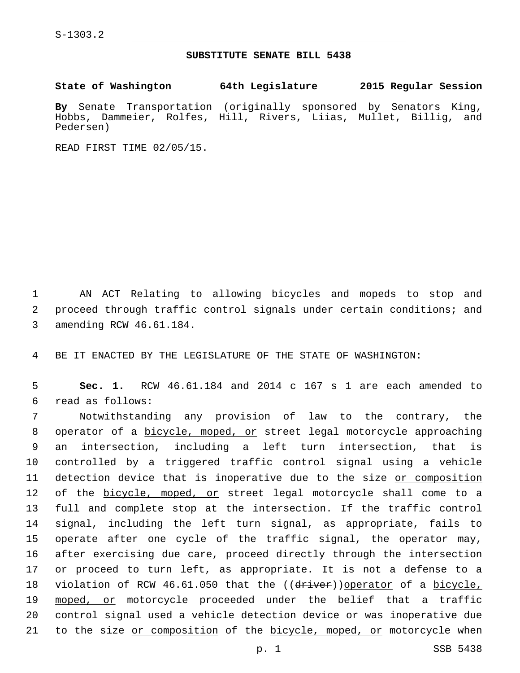## **SUBSTITUTE SENATE BILL 5438**

**State of Washington 64th Legislature 2015 Regular Session**

**By** Senate Transportation (originally sponsored by Senators King, Hobbs, Dammeier, Rolfes, Hill, Rivers, Liias, Mullet, Billig, and Pedersen)

READ FIRST TIME 02/05/15.

1 AN ACT Relating to allowing bicycles and mopeds to stop and 2 proceed through traffic control signals under certain conditions; and 3 amending RCW 46.61.184.

4 BE IT ENACTED BY THE LEGISLATURE OF THE STATE OF WASHINGTON:

5 **Sec. 1.** RCW 46.61.184 and 2014 c 167 s 1 are each amended to read as follows:6

 Notwithstanding any provision of law to the contrary, the operator of a bicycle, moped, or street legal motorcycle approaching an intersection, including a left turn intersection, that is controlled by a triggered traffic control signal using a vehicle detection device that is inoperative due to the size or composition 12 of the bicycle, moped, or street legal motorcycle shall come to a full and complete stop at the intersection. If the traffic control signal, including the left turn signal, as appropriate, fails to operate after one cycle of the traffic signal, the operator may, after exercising due care, proceed directly through the intersection or proceed to turn left, as appropriate. It is not a defense to a 18 violation of RCW 46.61.050 that the ((driver))operator of a bicycle, moped, or motorcycle proceeded under the belief that a traffic control signal used a vehicle detection device or was inoperative due 21 to the size or composition of the bicycle, moped, or motorcycle when